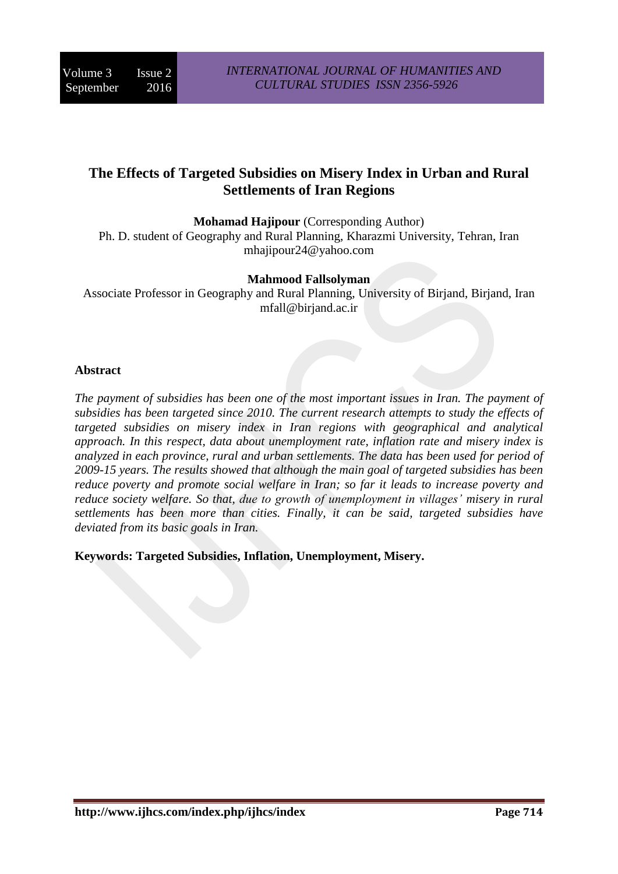# **The Effects of Targeted Subsidies on Misery Index in Urban and Rural Settlements of Iran Regions**

**Mohamad Hajipour** (Corresponding Author)

Ph. D. student of Geography and Rural Planning, Kharazmi University, Tehran, Iran mhajipour24@yahoo.com

### **Mahmood Fallsolyman**

Associate Professor in Geography and Rural Planning, University of Birjand, Birjand, Iran mfall@birjand.ac.ir

### **Abstract**

*The payment of subsidies has been one of the most important issues in Iran. The payment of subsidies has been targeted since 2010. The current research attempts to study the effects of targeted subsidies on misery index in Iran regions with geographical and analytical approach. In this respect, data about unemployment rate, inflation rate and misery index is analyzed in each province, rural and urban settlements. The data has been used for period of 2009-15 years. The results showed that although the main goal of targeted subsidies has been reduce poverty and promote social welfare in Iran; so far it leads to increase poverty and reduce society welfare. So that, due to growth of unemployment in villages' misery in rural settlements has been more than cities. Finally, it can be said, targeted subsidies have deviated from its basic goals in Iran.*

**Keywords: Targeted Subsidies, Inflation, Unemployment, Misery.**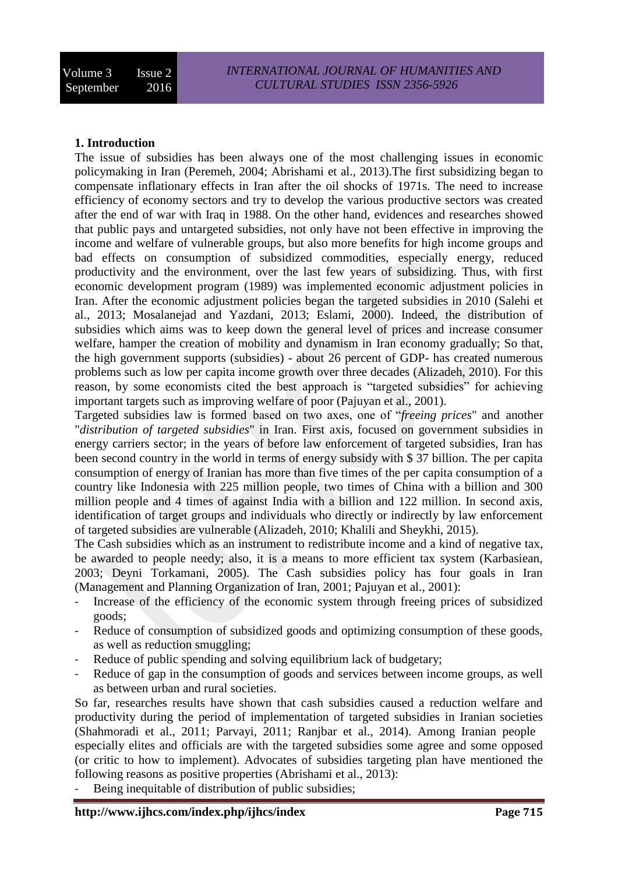# **1. Introduction**

The issue of subsidies has been always one of the most challenging issues in economic policymaking in Iran (Peremeh, 2004; Abrishami et al., 2013).The first subsidizing began to compensate inflationary effects in Iran after the oil shocks of 1971s. The need to increase efficiency of economy sectors and try to develop the various productive sectors was created after the end of war with Iraq in 1988. On the other hand, evidences and researches showed that public pays and untargeted subsidies, not only have not been effective in improving the income and welfare of vulnerable groups, but also more benefits for high income groups and bad effects on consumption of subsidized commodities, especially energy, reduced productivity and the environment, over the last few years of subsidizing. Thus, with first economic development program (1989) was implemented economic adjustment policies in Iran. After the economic adjustment policies began the targeted subsidies in 2010 (Salehi et al., 2013; Mosalanejad and Yazdani, 2013; Eslami, 2000). Indeed, the distribution of subsidies which aims was to keep down the general level of prices and increase consumer welfare, hamper the creation of mobility and dynamism in Iran economy gradually; So that, the high government supports (subsidies) - about 26 percent of GDP- has created numerous problems such as low per capita income growth over three decades (Alizadeh, 2010). For this reason, by some economists cited the best approach is "targeted subsidies" for achieving important targets such as improving welfare of poor (Pajuyan et al., 2001).

Targeted subsidies law is formed based on two axes, one of "*freeing prices*" and another "*distribution of targeted subsidies*" in Iran. First axis, focused on government subsidies in energy carriers sector; in the years of before law enforcement of targeted subsidies, Iran has been second country in the world in terms of energy subsidy with \$ 37 billion. The per capita consumption of energy of Iranian has more than five times of the per capita consumption of a country like Indonesia with 225 million people, two times of China with a billion and 300 million people and 4 times of against India with a billion and 122 million. In second axis, identification of target groups and individuals who directly or indirectly by law enforcement of targeted subsidies are vulnerable (Alizadeh, 2010; Khalili and Sheykhi, 2015).

The Cash subsidies which as an instrument to redistribute income and a kind of negative tax, be awarded to people needy; also, it is a means to more efficient tax system (Karbasiean, 2003; Deyni Torkamani, 2005). The Cash subsidies policy has four goals in Iran (Management and Planning Organization of Iran, 2001; Pajuyan et al., 2001):

- Increase of the efficiency of the economic system through freeing prices of subsidized goods;
- Reduce of consumption of subsidized goods and optimizing consumption of these goods, as well as reduction smuggling;
- Reduce of public spending and solving equilibrium lack of budgetary;
- Reduce of gap in the consumption of goods and services between income groups, as well as between urban and rural societies.

So far, researches results have shown that cash subsidies caused a reduction welfare and productivity during the period of implementation of targeted subsidies in Iranian societies (Shahmoradi et al., 2011; Parvayi, 2011; Ranjbar et al., 2014). Among Iranian people especially elites and officials are with the targeted subsidies some agree and some opposed (or critic to how to implement). Advocates of subsidies targeting plan have mentioned the

- following reasons as positive properties (Abrishami et al., 2013):
- Being inequitable of distribution of public subsidies;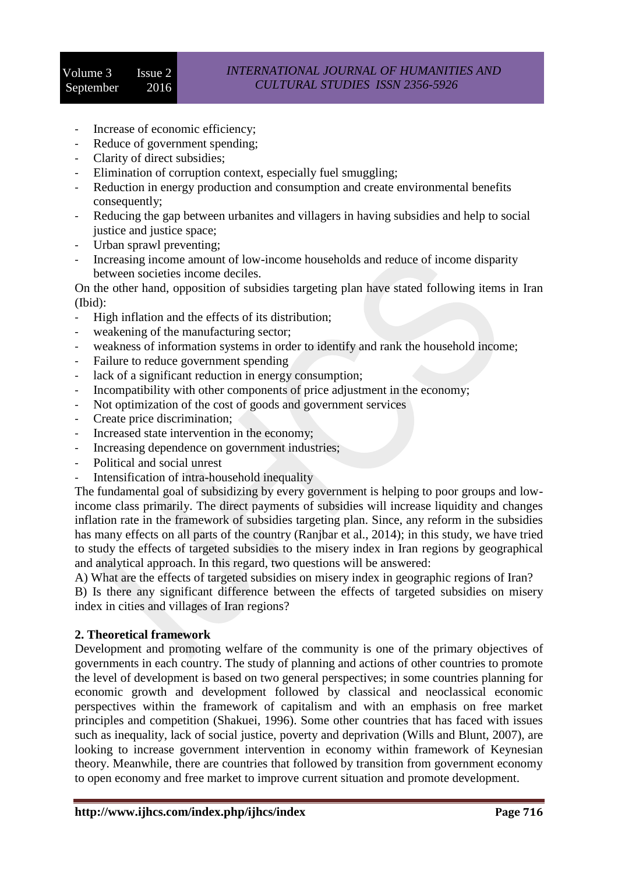- Increase of economic efficiency;
- Reduce of government spending;
- Clarity of direct subsidies:
- Elimination of corruption context, especially fuel smuggling;
- Reduction in energy production and consumption and create environmental benefits consequently;
- Reducing the gap between urbanites and villagers in having subsidies and help to social justice and justice space;
- Urban sprawl preventing;
- Increasing income amount of low-income households and reduce of income disparity between societies income deciles.

On the other hand, opposition of subsidies targeting plan have stated following items in Iran (Ibid):

- High inflation and the effects of its distribution;
- weakening of the manufacturing sector;
- weakness of information systems in order to identify and rank the household income;
- Failure to reduce government spending
- lack of a significant reduction in energy consumption;
- Incompatibility with other components of price adjustment in the economy;
- Not optimization of the cost of goods and government services
- Create price discrimination:
- Increased state intervention in the economy;
- Increasing dependence on government industries;
- Political and social unrest
- Intensification of intra-household inequality

The fundamental goal of subsidizing by every government is helping to poor groups and lowincome class primarily. The direct payments of subsidies will increase liquidity and changes inflation rate in the framework of subsidies targeting plan. Since, any reform in the subsidies has many effects on all parts of the country (Ranjbar et al., 2014); in this study, we have tried to study the effects of targeted subsidies to the misery index in Iran regions by geographical and analytical approach. In this regard, two questions will be answered:

A) What are the effects of targeted subsidies on misery index in geographic regions of Iran? B) Is there any significant difference between the effects of targeted subsidies on misery index in cities and villages of Iran regions?

#### **2. Theoretical framework**

Development and promoting welfare of the community is one of the primary objectives of governments in each country. The study of planning and actions of other countries to promote the level of development is based on two general perspectives; in some countries planning for economic growth and development followed by classical and neoclassical economic perspectives within the framework of capitalism and with an emphasis on free market principles and competition (Shakuei, 1996). Some other countries that has faced with issues such as inequality, lack of social justice, poverty and deprivation (Wills and Blunt, 2007), are looking to increase government intervention in economy within framework of Keynesian theory. Meanwhile, there are countries that followed by transition from government economy to open economy and free market to improve current situation and promote development.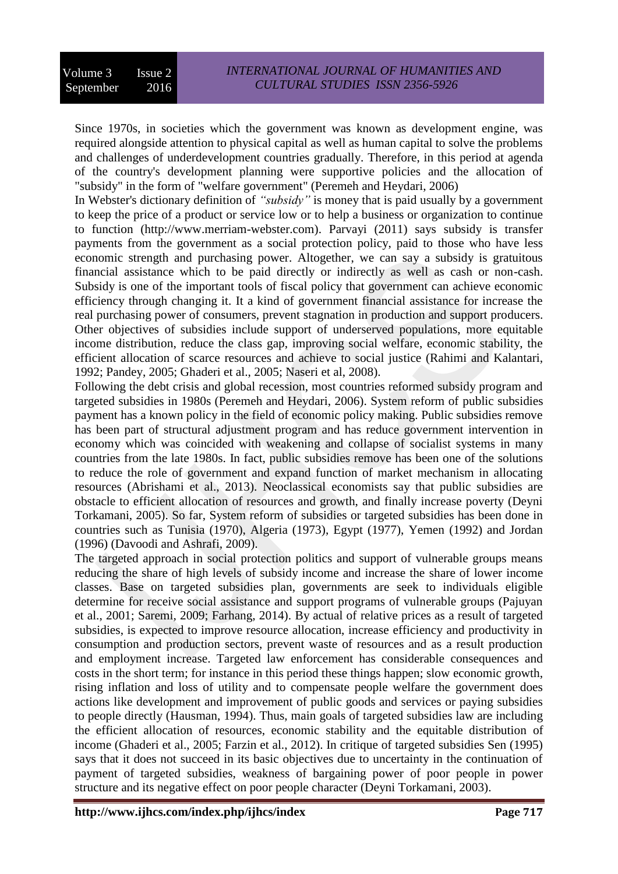Since 1970s, in societies which the government was known as development engine, was required alongside attention to physical capital as well as human capital to solve the problems and challenges of underdevelopment countries gradually. Therefore, in this period at agenda of the country's development planning were supportive policies and the allocation of "subsidy" in the form of "welfare government" (Peremeh and Heydari, 2006)

In Webster's dictionary definition of *"subsidy"* is money that is paid usually by a government to keep the price of a product or service low or to help a business or organization to continue to function (http://www.merriam-webster.com). Parvayi (2011) says subsidy is transfer payments from the government as a social protection policy, paid to those who have less economic strength and purchasing power. Altogether, we can say a subsidy is gratuitous financial assistance which to be paid directly or indirectly as well as cash or non-cash. Subsidy is one of the important tools of fiscal policy that government can achieve economic efficiency through changing it. It a kind of government financial assistance for increase the real purchasing power of consumers, prevent stagnation in production and support producers. Other objectives of subsidies include support of underserved populations, more equitable income distribution, reduce the class gap, improving social welfare, economic stability, the efficient allocation of scarce resources and achieve to social justice (Rahimi and Kalantari, 1992; Pandey, 2005; Ghaderi et al., 2005; Naseri et al, 2008).

Following the debt crisis and global recession, most countries reformed subsidy program and targeted subsidies in 1980s (Peremeh and Heydari, 2006). System reform of public subsidies payment has a known policy in the field of economic policy making. Public subsidies remove has been part of structural adjustment program and has reduce government intervention in economy which was coincided with weakening and collapse of socialist systems in many countries from the late 1980s. In fact, public subsidies remove has been one of the solutions to reduce the role of government and expand function of market mechanism in allocating resources (Abrishami et al., 2013). Neoclassical economists say that public subsidies are obstacle to efficient allocation of resources and growth, and finally increase poverty (Deyni Torkamani, 2005). So far, System reform of subsidies or targeted subsidies has been done in countries such as Tunisia (1970), Algeria (1973), Egypt (1977), Yemen (1992) and Jordan (1996) (Davoodi and Ashrafi, 2009).

The targeted approach in social protection politics and support of vulnerable groups means reducing the share of high levels of subsidy income and increase the share of lower income classes. Base on targeted subsidies plan, governments are seek to individuals eligible determine for receive social assistance and support programs of vulnerable groups (Pajuyan et al., 2001; Saremi, 2009; Farhang, 2014). By actual of relative prices as a result of targeted subsidies, is expected to improve resource allocation, increase efficiency and productivity in consumption and production sectors, prevent waste of resources and as a result production and employment increase. Targeted law enforcement has considerable consequences and costs in the short term; for instance in this period these things happen; slow economic growth, rising inflation and loss of utility and to compensate people welfare the government does actions like development and improvement of public goods and services or paying subsidies to people directly (Hausman, 1994). Thus, main goals of targeted subsidies law are including the efficient allocation of resources, economic stability and the equitable distribution of income (Ghaderi et al., 2005; Farzin et al., 2012). In critique of targeted subsidies Sen (1995) says that it does not succeed in its basic objectives due to uncertainty in the continuation of payment of targeted subsidies, weakness of bargaining power of poor people in power structure and its negative effect on poor people character (Deyni Torkamani, 2003).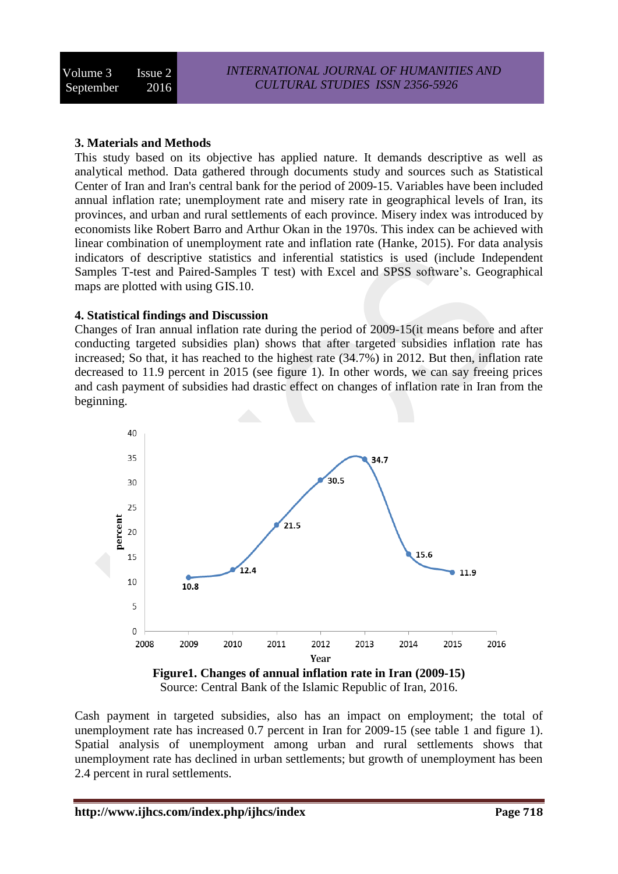# **3. Materials and Methods**

This study based on its objective has applied nature. It demands descriptive as well as analytical method. Data gathered through documents study and sources such as Statistical Center of Iran and Iran's central bank for the period of 2009-15. Variables have been included annual inflation rate; unemployment rate and misery rate in geographical levels of Iran, its provinces, and urban and rural settlements of each province. Misery index was introduced by economists like Robert Barro and Arthur Okan in the 1970s. This index can be achieved with linear combination of unemployment rate and inflation rate (Hanke, 2015). For data analysis indicators of descriptive statistics and inferential statistics is used (include Independent Samples T-test and Paired-Samples T test) with Excel and SPSS software's. Geographical maps are plotted with using GIS.10.

### **4. Statistical findings and Discussion**

Changes of Iran annual inflation rate during the period of 2009-15(it means before and after conducting targeted subsidies plan) shows that after targeted subsidies inflation rate has increased; So that, it has reached to the highest rate (34.7%) in 2012. But then, inflation rate decreased to 11.9 percent in 2015 (see figure 1). In other words, we can say freeing prices and cash payment of subsidies had drastic effect on changes of inflation rate in Iran from the beginning.



Source: Central Bank of the Islamic Republic of Iran, 2016.

Cash payment in targeted subsidies, also has an impact on employment; the total of unemployment rate has increased 0.7 percent in Iran for 2009-15 (see table 1 and figure 1). Spatial analysis of unemployment among urban and rural settlements shows that unemployment rate has declined in urban settlements; but growth of unemployment has been 2.4 percent in rural settlements.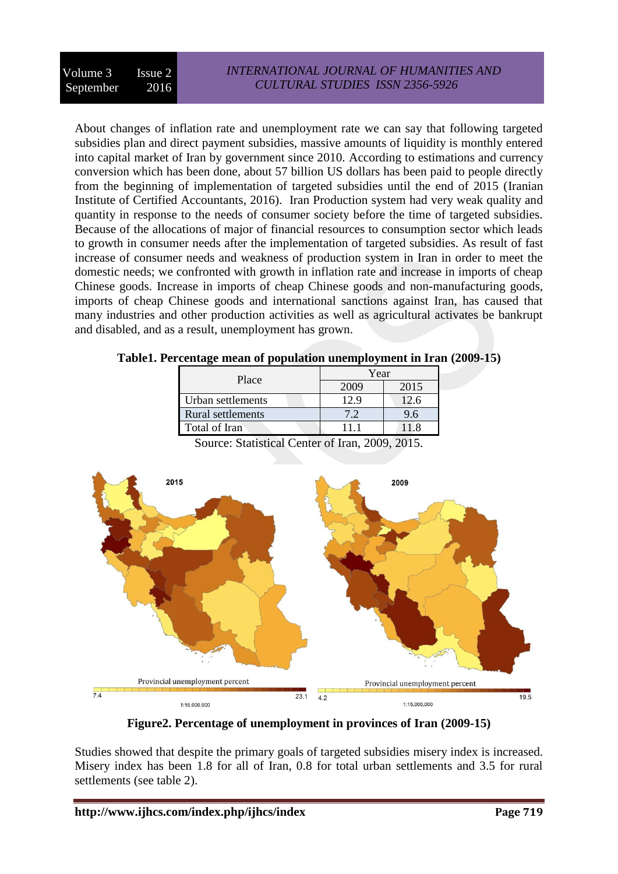About changes of inflation rate and unemployment rate we can say that following targeted subsidies plan and direct payment subsidies, massive amounts of liquidity is monthly entered into capital market of Iran by government since 2010. According to estimations and currency conversion which has been done, about 57 billion US dollars has been paid to people directly from the beginning of implementation of targeted subsidies until the end of 2015 (Iranian Institute of Certified Accountants, 2016). Iran Production system had very weak quality and quantity in response to the needs of consumer society before the time of targeted subsidies. Because of the allocations of major of financial resources to consumption sector which leads to growth in consumer needs after the implementation of targeted subsidies. As result of fast increase of consumer needs and weakness of production system in Iran in order to meet the domestic needs; we confronted with growth in inflation rate and increase in imports of cheap Chinese goods. Increase in imports of cheap Chinese goods and non-manufacturing goods, imports of cheap Chinese goods and international sanctions against Iran, has caused that many industries and other production activities as well as agricultural activates be bankrupt and disabled, and as a result, unemployment has grown.

| electric concern of population unchiployment in fruit (# |      |      |  |
|----------------------------------------------------------|------|------|--|
| Place                                                    | Year |      |  |
|                                                          | 2009 | 2015 |  |
| Urban settlements                                        |      | 2.6  |  |
| Rural settlements                                        |      | 9.6  |  |
| Total of Iran                                            |      |      |  |

Source: Statistical Center of Iran, 2009, 2015.

**Table1. Percentage mean of population unemployment in Iran (2009-15)**



**Figure2. Percentage of unemployment in provinces of Iran (2009-15)**

Studies showed that despite the primary goals of targeted subsidies misery index is increased. Misery index has been 1.8 for all of Iran, 0.8 for total urban settlements and 3.5 for rural settlements (see table 2).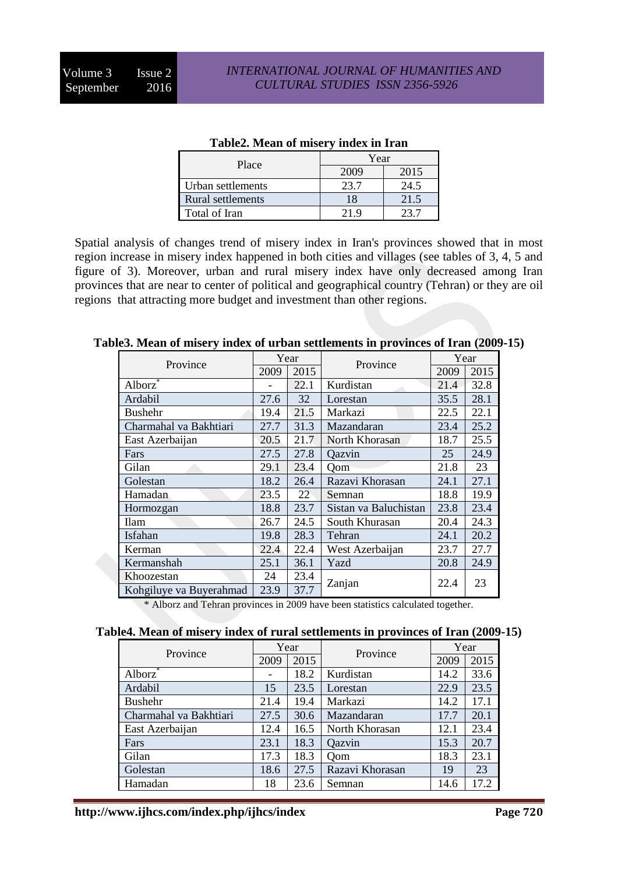| Place             | Year |      |  |  |
|-------------------|------|------|--|--|
|                   | 2009 | 2015 |  |  |
| Urban settlements | 23.7 | 24.5 |  |  |
| Rural settlements | 18   | 21.5 |  |  |
| Total of Iran     | 21 Q |      |  |  |

**Table2. Mean of misery index in Iran**

Spatial analysis of changes trend of misery index in Iran's provinces showed that in most region increase in misery index happened in both cities and villages (see tables of 3, 4, 5 and figure of 3). Moreover, urban and rural misery index have only decreased among Iran provinces that are near to center of political and geographical country (Tehran) or they are oil regions that attracting more budget and investment than other regions.

| Province                | Year |      | Province              | Year |      |
|-------------------------|------|------|-----------------------|------|------|
|                         | 2009 | 2015 |                       | 2009 | 2015 |
| Alborz <sup>*</sup>     |      | 22.1 | Kurdistan             | 21.4 | 32.8 |
| Ardabil                 | 27.6 | 32   | Lorestan              | 35.5 | 28.1 |
| Bushehr                 | 19.4 | 21.5 | Markazi               | 22.5 | 22.1 |
| Charmahal va Bakhtiari  | 27.7 | 31.3 | Mazandaran            | 23.4 | 25.2 |
| East Azerbaijan         | 20.5 | 21.7 | North Khorasan        | 18.7 | 25.5 |
| Fars                    | 27.5 | 27.8 | Qazvin                | 25   | 24.9 |
| Gilan                   | 29.1 | 23.4 | <b>Qom</b>            | 21.8 | 23   |
| Golestan                | 18.2 | 26.4 | Razavi Khorasan       | 24.1 | 27.1 |
| Hamadan                 | 23.5 | 22   | Semnan                | 18.8 | 19.9 |
| Hormozgan               | 18.8 | 23.7 | Sistan va Baluchistan | 23.8 | 23.4 |
| <b>Ilam</b>             | 26.7 | 24.5 | South Khurasan        | 20.4 | 24.3 |
| <b>Isfahan</b>          | 19.8 | 28.3 | Tehran                | 24.1 | 20.2 |
| Kerman                  | 22.4 | 22.4 | West Azerbaijan       | 23.7 | 27.7 |
| Kermanshah              | 25.1 | 36.1 | Yazd                  | 20.8 | 24.9 |
| Khoozestan              | 24   | 23.4 |                       | 22.4 | 23   |
| Kohgiluye va Buyerahmad | 23.9 | 37.7 | Zanjan                |      |      |

**Table3. Mean of misery index of urban settlements in provinces of Iran (2009-15)**

\* Alborz and Tehran provinces in 2009 have been statistics calculated together.

|  |  | Table4. Mean of misery index of rural settlements in provinces of Iran (2009-15) |  |  |  |
|--|--|----------------------------------------------------------------------------------|--|--|--|
|  |  |                                                                                  |  |  |  |

| Province               | Year |      | Province        | Year |      |
|------------------------|------|------|-----------------|------|------|
|                        | 2009 | 2015 |                 | 2009 | 2015 |
| Alborz                 |      | 18.2 | Kurdistan       | 14.2 | 33.6 |
| Ardabil                | 15   | 23.5 | Lorestan        | 22.9 | 23.5 |
| <b>Bushehr</b>         | 21.4 | 19.4 | Markazi         | 14.2 | 17.1 |
| Charmahal va Bakhtiari | 27.5 | 30.6 | Mazandaran      | 17.7 | 20.1 |
| East Azerbaijan        | 12.4 | 16.5 | North Khorasan  | 12.1 | 23.4 |
| Fars                   | 23.1 | 18.3 | Qazvin          | 15.3 | 20.7 |
| Gilan                  | 17.3 | 18.3 | <b>Qom</b>      | 18.3 | 23.1 |
| Golestan               | 18.6 | 27.5 | Razavi Khorasan | 19   | 23   |
| Hamadan                | 18   | 23.6 | Semnan          | 14.6 | 17.2 |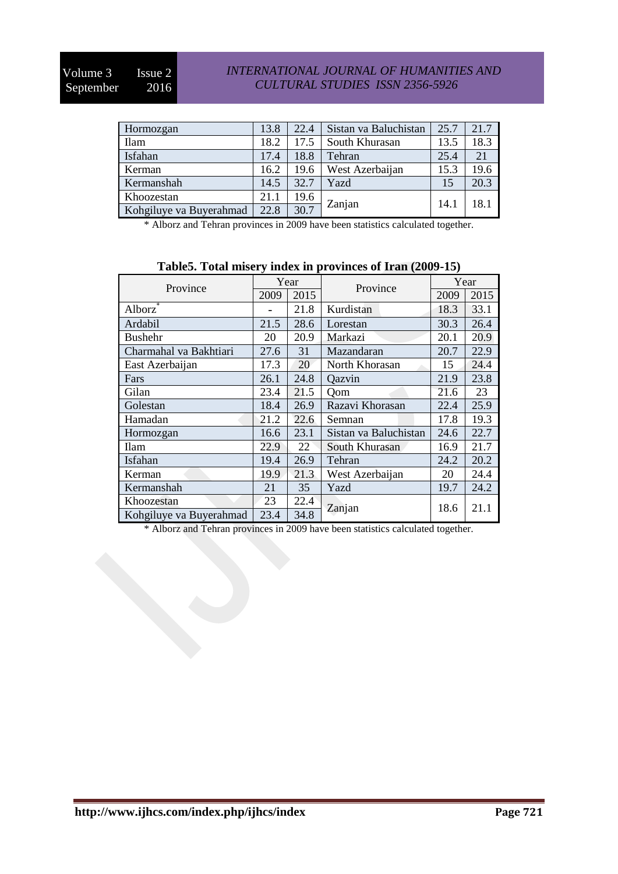### *INTERNATIONAL JOURNAL OF HUMANITIES AND CULTURAL STUDIES ISSN 2356-5926*

| Hormozgan               | 13.8 | 22.4 | Sistan va Baluchistan | 25.7 | 21.7 |
|-------------------------|------|------|-----------------------|------|------|
| <b>Ilam</b>             | 18.2 | 17.5 | South Khurasan        | 13.5 | 18.3 |
| Isfahan                 | 17.4 | 18.8 | Tehran                | 25.4 | 21   |
| Kerman                  | 16.2 | 19.6 | West Azerbaijan       | 15.3 | 19.6 |
| Kermanshah              | 14.5 | 32.7 | Yazd                  | 15   | 20.3 |
| Khoozestan              | 21.1 | 19.6 | Zanjan                | 14.1 | 18.1 |
| Kohgiluye va Buyerahmad | 22.8 | 30.7 |                       |      |      |

\* Alborz and Tehran provinces in 2009 have been statistics calculated together.

| Province                | Year |      | Province              | Year |      |
|-------------------------|------|------|-----------------------|------|------|
|                         | 2009 | 2015 |                       | 2009 | 2015 |
| $Alborz^*$              |      | 21.8 | Kurdistan             | 18.3 | 33.1 |
| Ardabil                 | 21.5 | 28.6 | Lorestan              | 30.3 | 26.4 |
| Bushehr                 | 20   | 20.9 | Markazi               | 20.1 | 20.9 |
| Charmahal va Bakhtiari  | 27.6 | 31   | Mazandaran            | 20.7 | 22.9 |
| East Azerbaijan         | 17.3 | 20   | North Khorasan        | 15   | 24.4 |
| Fars                    | 26.1 | 24.8 | Qazvin                | 21.9 | 23.8 |
| Gilan                   | 23.4 | 21.5 | <b>Q</b> om           | 21.6 | 23   |
| Golestan                | 18.4 | 26.9 | Razavi Khorasan       | 22.4 | 25.9 |
| Hamadan                 | 21.2 | 22.6 | Semnan                | 17.8 | 19.3 |
| Hormozgan               | 16.6 | 23.1 | Sistan va Baluchistan | 24.6 | 22.7 |
| <b>Ilam</b>             | 22.9 | 22   | South Khurasan        | 16.9 | 21.7 |
| Isfahan                 | 19.4 | 26.9 | Tehran                | 24.2 | 20.2 |
| Kerman                  | 19.9 | 21.3 | West Azerbaijan       | 20   | 24.4 |
| Kermanshah              | 21   | 35   | Yazd                  | 19.7 | 24.2 |
| Khoozestan              | 23   | 22.4 |                       |      |      |
| Kohgiluye va Buyerahmad | 23.4 | 34.8 | Zanjan                | 18.6 | 21.1 |

# **Table5. Total misery index in provinces of Iran (2009-15)**

\* Alborz and Tehran provinces in 2009 have been statistics calculated together.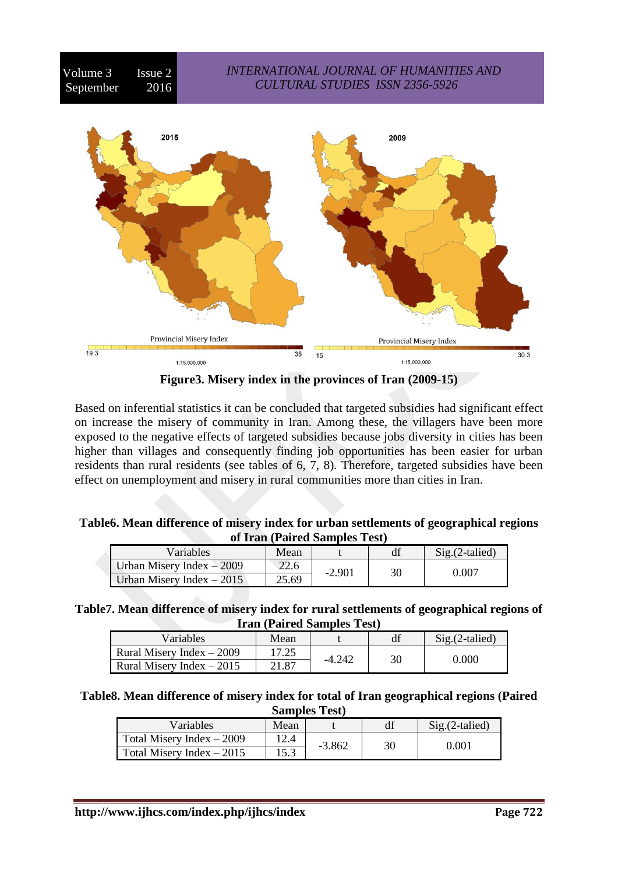

**Figure3. Misery index in the provinces of Iran (2009-15)**

Based on inferential statistics it can be concluded that targeted subsidies had significant effect on increase the misery of community in Iran. Among these, the villagers have been more exposed to the negative effects of targeted subsidies because jobs diversity in cities has been higher than villages and consequently finding job opportunities has been easier for urban residents than rural residents (see tables of 6, 7, 8). Therefore, targeted subsidies have been effect on unemployment and misery in rural communities more than cities in Iran.

# **Table6. Mean difference of misery index for urban settlements of geographical regions of Iran (Paired Samples Test)**

| Variables                  | Mean  |          | df | $Sig.(2-tailed)$ |
|----------------------------|-------|----------|----|------------------|
| Urban Misery Index $-2009$ | 22.6  |          |    |                  |
| Urban Misery Index $-2015$ | 25.69 | $-2.901$ | 30 | 0.007            |

**Table7. Mean difference of misery index for rural settlements of geographical regions of Iran (Paired Samples Test)**

| Variables                  | Mean  |        | df | $Sig.(2-tailed)$ |  |
|----------------------------|-------|--------|----|------------------|--|
| Rural Misery Index $-2009$ | 17.25 | -4.242 |    |                  |  |
| Rural Misery Index $-2015$ | 21.87 |        | 30 | 0.000            |  |

**Table8. Mean difference of misery index for total of Iran geographical regions (Paired Samples Test)**

| Variables                  | Mean             |  |    | $Sig.(2-tailed)$ |  |
|----------------------------|------------------|--|----|------------------|--|
| Total Misery Index – 2009  | 12.4             |  | 30 | $0.001\,$        |  |
| Total Misery Index $-2015$ | $-3.862$<br>15.3 |  |    |                  |  |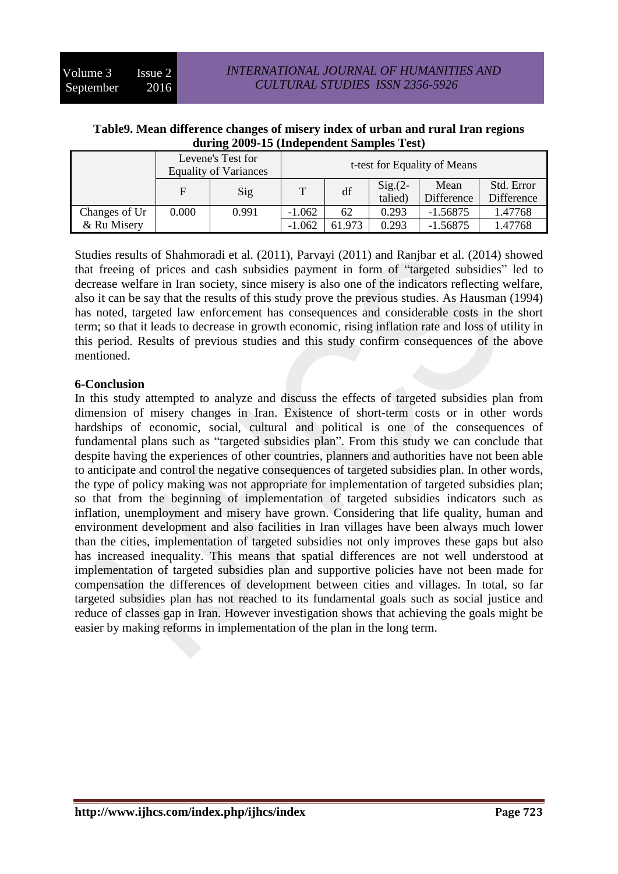| Table9. Mean difference changes of misery index of urban and rural Iran regions |
|---------------------------------------------------------------------------------|
| during 2009-15 (Independent Samples Test)                                       |

|               | Levene's Test for<br><b>Equality of Variances</b> |       | t-test for Equality of Means |        |                      |                    |                          |  |  |
|---------------|---------------------------------------------------|-------|------------------------------|--------|----------------------|--------------------|--------------------------|--|--|
|               | F                                                 | Sig   | T                            | df     | $Sig(2 -$<br>talied) | Mean<br>Difference | Std. Error<br>Difference |  |  |
| Changes of Ur | 0.000                                             | 0.991 | $-1.062$                     | 62     | 0.293                | $-1.56875$         | 1.47768                  |  |  |
| & Ru Misery   |                                                   |       | $-1.062$                     | 61.973 | 0.293                | $-1.56875$         | .47768                   |  |  |

Studies results of Shahmoradi et al. (2011), Parvayi (2011) and Ranjbar et al. (2014) showed that freeing of prices and cash subsidies payment in form of "targeted subsidies" led to decrease welfare in Iran society, since misery is also one of the indicators reflecting welfare, also it can be say that the results of this study prove the previous studies. As Hausman (1994) has noted, targeted law enforcement has consequences and considerable costs in the short term; so that it leads to decrease in growth economic, rising inflation rate and loss of utility in this period. Results of previous studies and this study confirm consequences of the above mentioned.

#### **6-Conclusion**

In this study attempted to analyze and discuss the effects of targeted subsidies plan from dimension of misery changes in Iran. Existence of short-term costs or in other words hardships of economic, social, cultural and political is one of the consequences of fundamental plans such as "targeted subsidies plan". From this study we can conclude that despite having the experiences of other countries, planners and authorities have not been able to anticipate and control the negative consequences of targeted subsidies plan. In other words, the type of policy making was not appropriate for implementation of targeted subsidies plan; so that from the beginning of implementation of targeted subsidies indicators such as inflation, unemployment and misery have grown. Considering that life quality, human and environment development and also facilities in Iran villages have been always much lower than the cities, implementation of targeted subsidies not only improves these gaps but also has increased inequality. This means that spatial differences are not well understood at implementation of targeted subsidies plan and supportive policies have not been made for compensation the differences of development between cities and villages. In total, so far targeted subsidies plan has not reached to its fundamental goals such as social justice and reduce of classes gap in Iran. However investigation shows that achieving the goals might be easier by making reforms in implementation of the plan in the long term.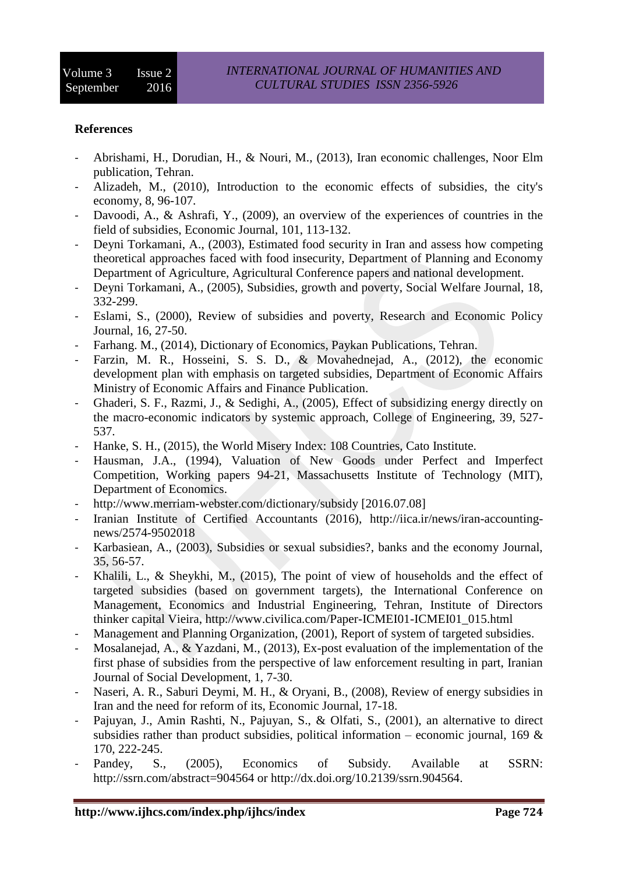### **References**

- Abrishami, H., Dorudian, H., & Nouri, M., (2013), Iran economic challenges, Noor Elm publication, Tehran.
- Alizadeh, M., (2010), Introduction to the economic effects of subsidies, the city's economy, 8, 96-107.
- Davoodi, A., & Ashrafi, Y., (2009), an overview of the experiences of countries in the field of subsidies, Economic Journal, 101, 113-132.
- Deyni Torkamani, A., (2003), Estimated food security in Iran and assess how competing theoretical approaches faced with food insecurity, Department of Planning and Economy Department of Agriculture, Agricultural Conference papers and national development.
- Deyni Torkamani, A., (2005), Subsidies, growth and poverty, Social Welfare Journal, 18, 332-299.
- Eslami, S., (2000), Review of subsidies and poverty, Research and Economic Policy Journal, 16, 27-50.
- Farhang. M., (2014), Dictionary of Economics, Paykan Publications, Tehran.
- Farzin, M. R., Hosseini, S. S. D., & Movahednejad, A., (2012), the economic development plan with emphasis on targeted subsidies, Department of Economic Affairs Ministry of Economic Affairs and Finance Publication.
- Ghaderi, S. F., Razmi, J., & Sedighi, A., (2005), Effect of subsidizing energy directly on the macro-economic indicators by systemic approach, College of Engineering, 39, 527- 537.
- Hanke, S. H., (2015), the World Misery Index: 108 Countries, Cato Institute.
- Hausman, J.A., (1994), Valuation of New Goods under Perfect and Imperfect Competition, Working papers 94-21, Massachusetts Institute of Technology (MIT), Department of Economics.
- <http://www.merriam-webster.com/dictionary/subsidy> [2016.07.08]
- Iranian Institute of Certified Accountants (2016), [http://iica.ir/news/iran-accounting](http://iica.ir/news/iran-accounting-news/2574-9502018)[news/2574-9502018](http://iica.ir/news/iran-accounting-news/2574-9502018)
- Karbasiean, A., (2003), Subsidies or sexual subsidies?, banks and the economy Journal, 35, 56-57.
- Khalili, L., & Sheykhi, M., (2015), The point of view of households and the effect of targeted subsidies (based on government targets), the International Conference on Management, Economics and Industrial Engineering, Tehran, Institute of Directors thinker capital Vieira, [http://www.civilica.com/Paper-ICMEI01-ICMEI01\\_015.html](http://www.civilica.com/Paper-ICMEI01-ICMEI01_015.html)
- Management and Planning Organization, (2001), Report of system of targeted subsidies.
- Mosalanejad, A., & Yazdani, M., (2013), Ex-post evaluation of the implementation of the first phase of subsidies from the perspective of law enforcement resulting in part, Iranian Journal of Social Development, 1, 7-30.
- Naseri, A. R., Saburi Deymi, M. H., & Oryani, B., (2008), Review of energy subsidies in Iran and the need for reform of its, Economic Journal, 17-18.
- Pajuyan, J., Amin Rashti, N., Pajuyan, S., & Olfati, S., (2001), an alternative to direct subsidies rather than product subsidies, political information – economic journal, 169  $\&$ 170, 222-245.
- Pandey, S., (2005), Economics of Subsidy. Available at SSRN: http://ssrn.com/abstract=904564 or [http://dx.doi.org/10.2139/ssrn.904564.](http://dx.doi.org/10.2139/ssrn.904564)